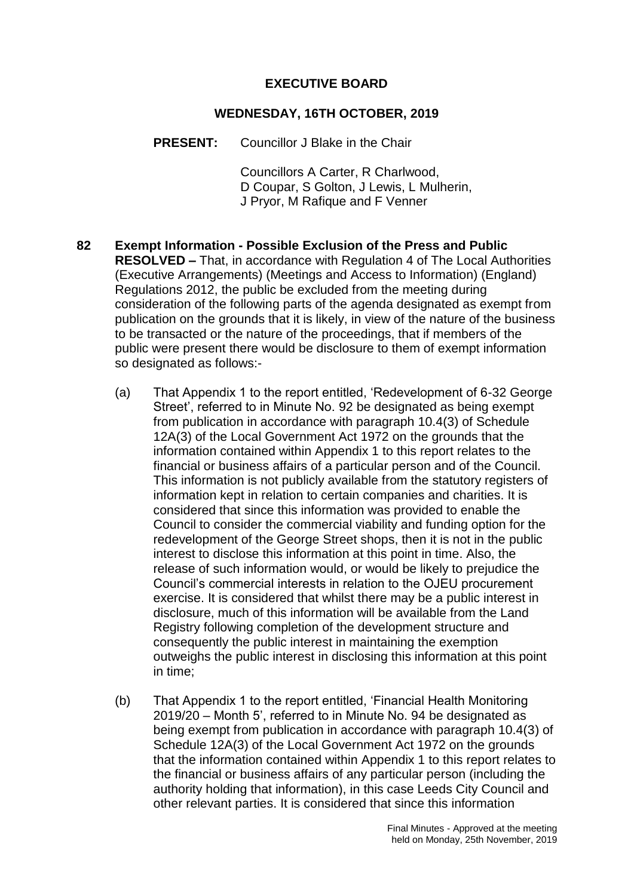### **EXECUTIVE BOARD**

#### **WEDNESDAY, 16TH OCTOBER, 2019**

**PRESENT:** Councillor J Blake in the Chair

Councillors A Carter, R Charlwood, D Coupar, S Golton, J Lewis, L Mulherin, J Pryor, M Rafique and F Venner

- **82 Exempt Information - Possible Exclusion of the Press and Public RESOLVED –** That, in accordance with Regulation 4 of The Local Authorities (Executive Arrangements) (Meetings and Access to Information) (England) Regulations 2012, the public be excluded from the meeting during consideration of the following parts of the agenda designated as exempt from publication on the grounds that it is likely, in view of the nature of the business to be transacted or the nature of the proceedings, that if members of the public were present there would be disclosure to them of exempt information so designated as follows:-
	- (a) That Appendix 1 to the report entitled, 'Redevelopment of 6-32 George Street', referred to in Minute No. 92 be designated as being exempt from publication in accordance with paragraph 10.4(3) of Schedule 12A(3) of the Local Government Act 1972 on the grounds that the information contained within Appendix 1 to this report relates to the financial or business affairs of a particular person and of the Council. This information is not publicly available from the statutory registers of information kept in relation to certain companies and charities. It is considered that since this information was provided to enable the Council to consider the commercial viability and funding option for the redevelopment of the George Street shops, then it is not in the public interest to disclose this information at this point in time. Also, the release of such information would, or would be likely to prejudice the Council's commercial interests in relation to the OJEU procurement exercise. It is considered that whilst there may be a public interest in disclosure, much of this information will be available from the Land Registry following completion of the development structure and consequently the public interest in maintaining the exemption outweighs the public interest in disclosing this information at this point in time;
	- (b) That Appendix 1 to the report entitled, 'Financial Health Monitoring 2019/20 – Month 5', referred to in Minute No. 94 be designated as being exempt from publication in accordance with paragraph 10.4(3) of Schedule 12A(3) of the Local Government Act 1972 on the grounds that the information contained within Appendix 1 to this report relates to the financial or business affairs of any particular person (including the authority holding that information), in this case Leeds City Council and other relevant parties. It is considered that since this information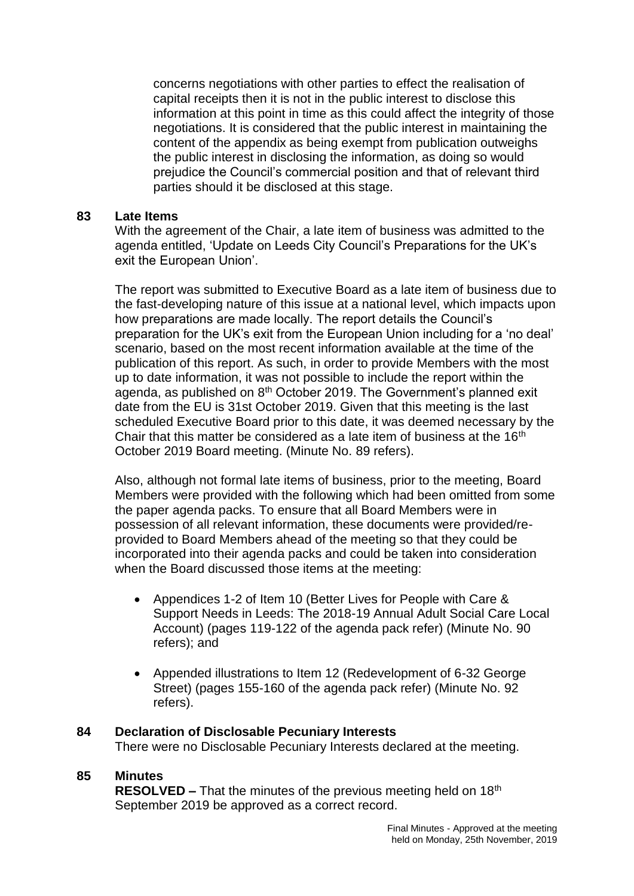concerns negotiations with other parties to effect the realisation of capital receipts then it is not in the public interest to disclose this information at this point in time as this could affect the integrity of those negotiations. It is considered that the public interest in maintaining the content of the appendix as being exempt from publication outweighs the public interest in disclosing the information, as doing so would prejudice the Council's commercial position and that of relevant third parties should it be disclosed at this stage.

#### **83 Late Items**

With the agreement of the Chair, a late item of business was admitted to the agenda entitled, 'Update on Leeds City Council's Preparations for the UK's exit the European Union'.

The report was submitted to Executive Board as a late item of business due to the fast-developing nature of this issue at a national level, which impacts upon how preparations are made locally. The report details the Council's preparation for the UK's exit from the European Union including for a 'no deal' scenario, based on the most recent information available at the time of the publication of this report. As such, in order to provide Members with the most up to date information, it was not possible to include the report within the agenda, as published on 8<sup>th</sup> October 2019. The Government's planned exit date from the EU is 31st October 2019. Given that this meeting is the last scheduled Executive Board prior to this date, it was deemed necessary by the Chair that this matter be considered as a late item of business at the 16<sup>th</sup> October 2019 Board meeting. (Minute No. 89 refers).

Also, although not formal late items of business, prior to the meeting, Board Members were provided with the following which had been omitted from some the paper agenda packs. To ensure that all Board Members were in possession of all relevant information, these documents were provided/reprovided to Board Members ahead of the meeting so that they could be incorporated into their agenda packs and could be taken into consideration when the Board discussed those items at the meeting:

- Appendices 1-2 of Item 10 (Better Lives for People with Care & Support Needs in Leeds: The 2018-19 Annual Adult Social Care Local Account) (pages 119-122 of the agenda pack refer) (Minute No. 90 refers); and
- Appended illustrations to Item 12 (Redevelopment of 6-32 George Street) (pages 155-160 of the agenda pack refer) (Minute No. 92 refers).

#### **84 Declaration of Disclosable Pecuniary Interests**

There were no Disclosable Pecuniary Interests declared at the meeting.

#### **85 Minutes**

**RESOLVED –** That the minutes of the previous meeting held on 18<sup>th</sup> September 2019 be approved as a correct record.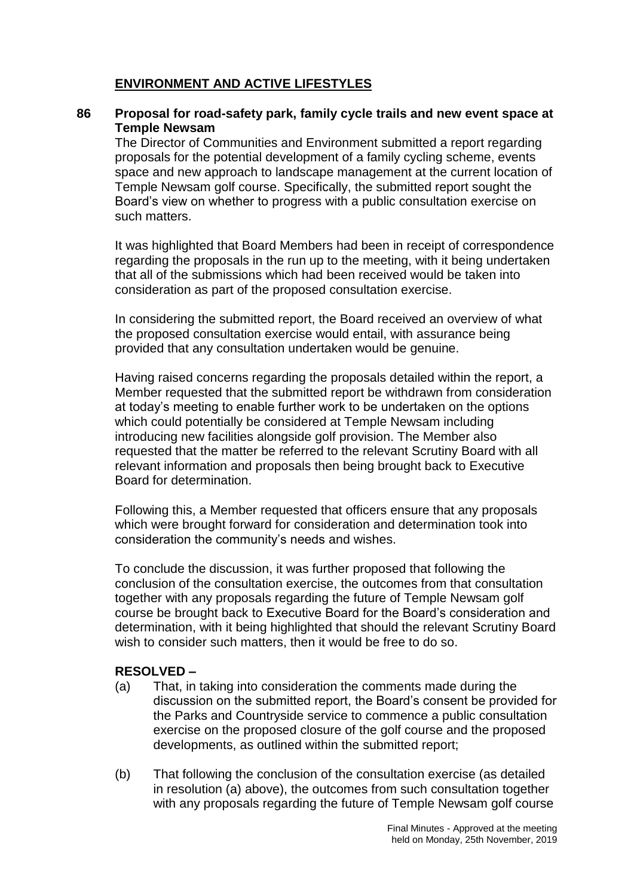# **ENVIRONMENT AND ACTIVE LIFESTYLES**

### **86 Proposal for road-safety park, family cycle trails and new event space at Temple Newsam**

The Director of Communities and Environment submitted a report regarding proposals for the potential development of a family cycling scheme, events space and new approach to landscape management at the current location of Temple Newsam golf course. Specifically, the submitted report sought the Board's view on whether to progress with a public consultation exercise on such matters.

It was highlighted that Board Members had been in receipt of correspondence regarding the proposals in the run up to the meeting, with it being undertaken that all of the submissions which had been received would be taken into consideration as part of the proposed consultation exercise.

In considering the submitted report, the Board received an overview of what the proposed consultation exercise would entail, with assurance being provided that any consultation undertaken would be genuine.

Having raised concerns regarding the proposals detailed within the report, a Member requested that the submitted report be withdrawn from consideration at today's meeting to enable further work to be undertaken on the options which could potentially be considered at Temple Newsam including introducing new facilities alongside golf provision. The Member also requested that the matter be referred to the relevant Scrutiny Board with all relevant information and proposals then being brought back to Executive Board for determination.

Following this, a Member requested that officers ensure that any proposals which were brought forward for consideration and determination took into consideration the community's needs and wishes.

To conclude the discussion, it was further proposed that following the conclusion of the consultation exercise, the outcomes from that consultation together with any proposals regarding the future of Temple Newsam golf course be brought back to Executive Board for the Board's consideration and determination, with it being highlighted that should the relevant Scrutiny Board wish to consider such matters, then it would be free to do so.

- (a) That, in taking into consideration the comments made during the discussion on the submitted report, the Board's consent be provided for the Parks and Countryside service to commence a public consultation exercise on the proposed closure of the golf course and the proposed developments, as outlined within the submitted report;
- (b) That following the conclusion of the consultation exercise (as detailed in resolution (a) above), the outcomes from such consultation together with any proposals regarding the future of Temple Newsam golf course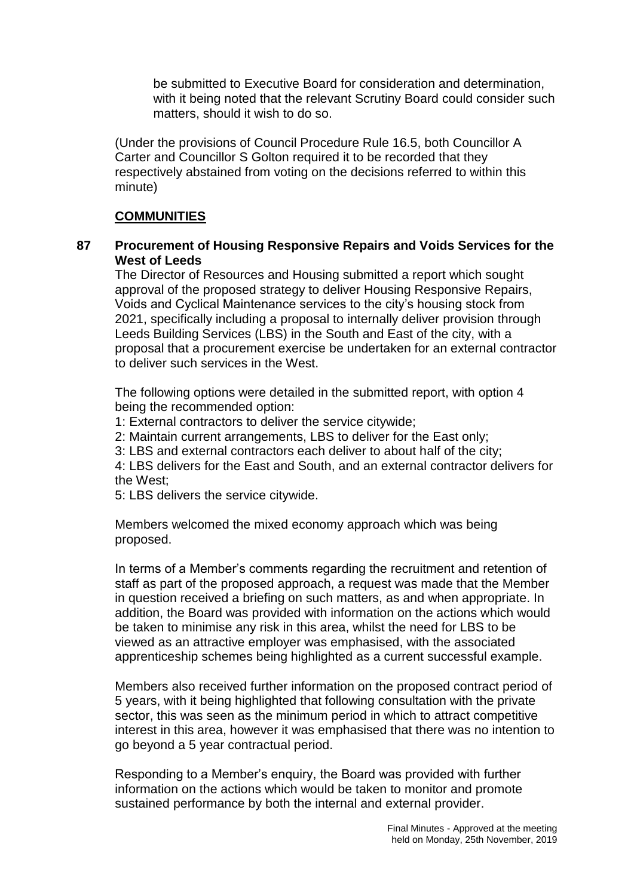be submitted to Executive Board for consideration and determination, with it being noted that the relevant Scrutiny Board could consider such matters, should it wish to do so.

(Under the provisions of Council Procedure Rule 16.5, both Councillor A Carter and Councillor S Golton required it to be recorded that they respectively abstained from voting on the decisions referred to within this minute)

### **COMMUNITIES**

### **87 Procurement of Housing Responsive Repairs and Voids Services for the West of Leeds**

The Director of Resources and Housing submitted a report which sought approval of the proposed strategy to deliver Housing Responsive Repairs, Voids and Cyclical Maintenance services to the city's housing stock from 2021, specifically including a proposal to internally deliver provision through Leeds Building Services (LBS) in the South and East of the city, with a proposal that a procurement exercise be undertaken for an external contractor to deliver such services in the West.

The following options were detailed in the submitted report, with option 4 being the recommended option:

1: External contractors to deliver the service citywide;

2: Maintain current arrangements, LBS to deliver for the East only;

3: LBS and external contractors each deliver to about half of the city;

4: LBS delivers for the East and South, and an external contractor delivers for the West;

5: LBS delivers the service citywide.

Members welcomed the mixed economy approach which was being proposed.

In terms of a Member's comments regarding the recruitment and retention of staff as part of the proposed approach, a request was made that the Member in question received a briefing on such matters, as and when appropriate. In addition, the Board was provided with information on the actions which would be taken to minimise any risk in this area, whilst the need for LBS to be viewed as an attractive employer was emphasised, with the associated apprenticeship schemes being highlighted as a current successful example.

Members also received further information on the proposed contract period of 5 years, with it being highlighted that following consultation with the private sector, this was seen as the minimum period in which to attract competitive interest in this area, however it was emphasised that there was no intention to go beyond a 5 year contractual period.

Responding to a Member's enquiry, the Board was provided with further information on the actions which would be taken to monitor and promote sustained performance by both the internal and external provider.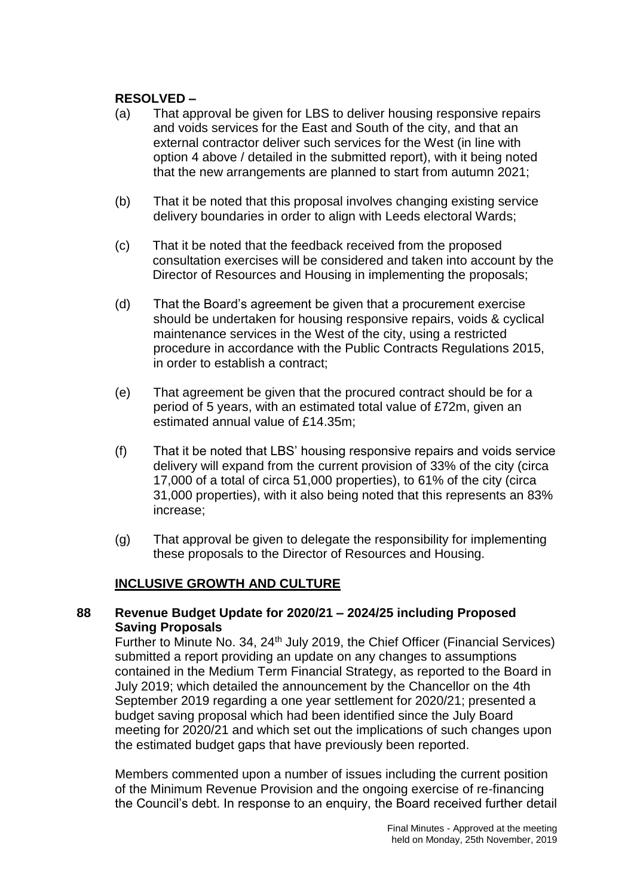## **RESOLVED –**

- (a) That approval be given for LBS to deliver housing responsive repairs and voids services for the East and South of the city, and that an external contractor deliver such services for the West (in line with option 4 above / detailed in the submitted report), with it being noted that the new arrangements are planned to start from autumn 2021;
- (b) That it be noted that this proposal involves changing existing service delivery boundaries in order to align with Leeds electoral Wards;
- (c) That it be noted that the feedback received from the proposed consultation exercises will be considered and taken into account by the Director of Resources and Housing in implementing the proposals;
- (d) That the Board's agreement be given that a procurement exercise should be undertaken for housing responsive repairs, voids & cyclical maintenance services in the West of the city, using a restricted procedure in accordance with the Public Contracts Regulations 2015, in order to establish a contract;
- (e) That agreement be given that the procured contract should be for a period of 5 years, with an estimated total value of £72m, given an estimated annual value of £14.35m;
- (f) That it be noted that LBS' housing responsive repairs and voids service delivery will expand from the current provision of 33% of the city (circa 17,000 of a total of circa 51,000 properties), to 61% of the city (circa 31,000 properties), with it also being noted that this represents an 83% increase;
- (g) That approval be given to delegate the responsibility for implementing these proposals to the Director of Resources and Housing.

# **INCLUSIVE GROWTH AND CULTURE**

#### **88 Revenue Budget Update for 2020/21 – 2024/25 including Proposed Saving Proposals**

Further to Minute No. 34, 24<sup>th</sup> July 2019, the Chief Officer (Financial Services) submitted a report providing an update on any changes to assumptions contained in the Medium Term Financial Strategy, as reported to the Board in July 2019; which detailed the announcement by the Chancellor on the 4th September 2019 regarding a one year settlement for 2020/21; presented a budget saving proposal which had been identified since the July Board meeting for 2020/21 and which set out the implications of such changes upon the estimated budget gaps that have previously been reported.

Members commented upon a number of issues including the current position of the Minimum Revenue Provision and the ongoing exercise of re-financing the Council's debt. In response to an enquiry, the Board received further detail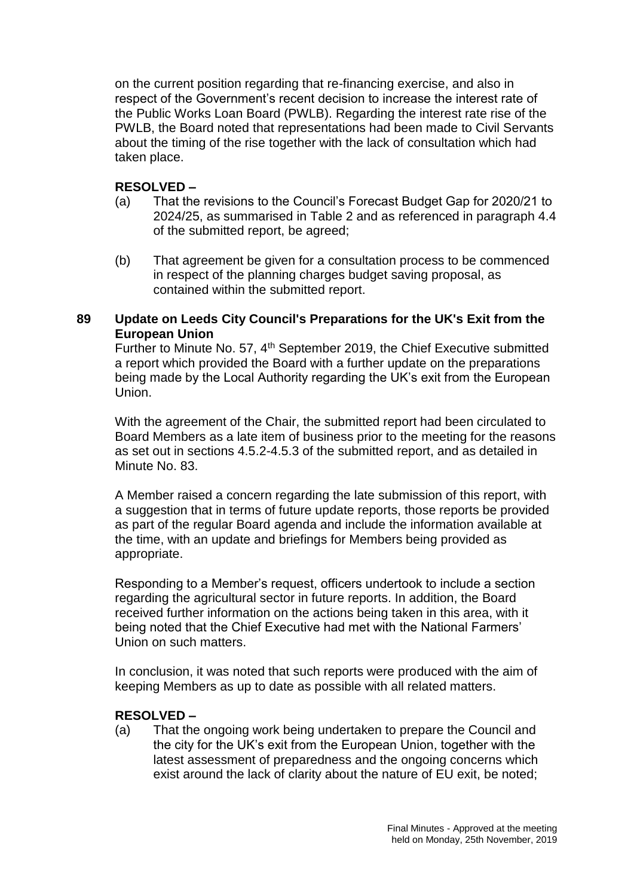on the current position regarding that re-financing exercise, and also in respect of the Government's recent decision to increase the interest rate of the Public Works Loan Board (PWLB). Regarding the interest rate rise of the PWLB, the Board noted that representations had been made to Civil Servants about the timing of the rise together with the lack of consultation which had taken place.

## **RESOLVED –**

- (a) That the revisions to the Council's Forecast Budget Gap for 2020/21 to 2024/25, as summarised in Table 2 and as referenced in paragraph 4.4 of the submitted report, be agreed;
- (b) That agreement be given for a consultation process to be commenced in respect of the planning charges budget saving proposal, as contained within the submitted report.

## **89 Update on Leeds City Council's Preparations for the UK's Exit from the European Union**

Further to Minute No. 57, 4th September 2019, the Chief Executive submitted a report which provided the Board with a further update on the preparations being made by the Local Authority regarding the UK's exit from the European Union.

With the agreement of the Chair, the submitted report had been circulated to Board Members as a late item of business prior to the meeting for the reasons as set out in sections 4.5.2-4.5.3 of the submitted report, and as detailed in Minute No. 83.

A Member raised a concern regarding the late submission of this report, with a suggestion that in terms of future update reports, those reports be provided as part of the regular Board agenda and include the information available at the time, with an update and briefings for Members being provided as appropriate.

Responding to a Member's request, officers undertook to include a section regarding the agricultural sector in future reports. In addition, the Board received further information on the actions being taken in this area, with it being noted that the Chief Executive had met with the National Farmers' Union on such matters.

In conclusion, it was noted that such reports were produced with the aim of keeping Members as up to date as possible with all related matters.

# **RESOLVED –**

(a) That the ongoing work being undertaken to prepare the Council and the city for the UK's exit from the European Union, together with the latest assessment of preparedness and the ongoing concerns which exist around the lack of clarity about the nature of EU exit, be noted;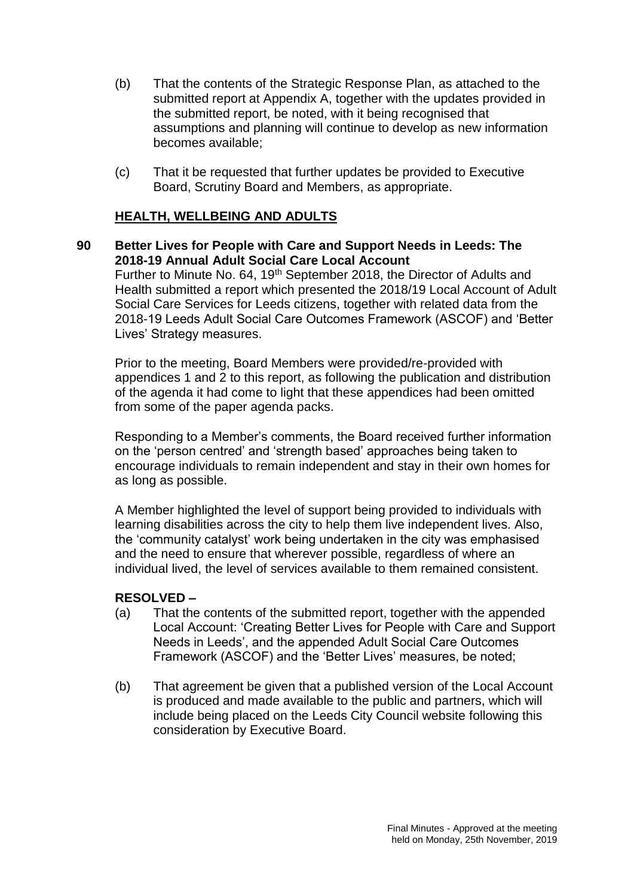- (b) That the contents of the Strategic Response Plan, as attached to the submitted report at Appendix A, together with the updates provided in the submitted report, be noted, with it being recognised that assumptions and planning will continue to develop as new information becomes available;
- (c) That it be requested that further updates be provided to Executive Board, Scrutiny Board and Members, as appropriate.

# **HEALTH, WELLBEING AND ADULTS**

**90 Better Lives for People with Care and Support Needs in Leeds: The 2018-19 Annual Adult Social Care Local Account** Further to Minute No. 64, 19<sup>th</sup> September 2018, the Director of Adults and Health submitted a report which presented the 2018/19 Local Account of Adult Social Care Services for Leeds citizens, together with related data from the 2018-19 Leeds Adult Social Care Outcomes Framework (ASCOF) and 'Better Lives' Strategy measures.

Prior to the meeting, Board Members were provided/re-provided with appendices 1 and 2 to this report, as following the publication and distribution of the agenda it had come to light that these appendices had been omitted from some of the paper agenda packs.

Responding to a Member's comments, the Board received further information on the 'person centred' and 'strength based' approaches being taken to encourage individuals to remain independent and stay in their own homes for as long as possible.

A Member highlighted the level of support being provided to individuals with learning disabilities across the city to help them live independent lives. Also, the 'community catalyst' work being undertaken in the city was emphasised and the need to ensure that wherever possible, regardless of where an individual lived, the level of services available to them remained consistent.

- (a) That the contents of the submitted report, together with the appended Local Account: 'Creating Better Lives for People with Care and Support Needs in Leeds', and the appended Adult Social Care Outcomes Framework (ASCOF) and the 'Better Lives' measures, be noted;
- (b) That agreement be given that a published version of the Local Account is produced and made available to the public and partners, which will include being placed on the Leeds City Council website following this consideration by Executive Board.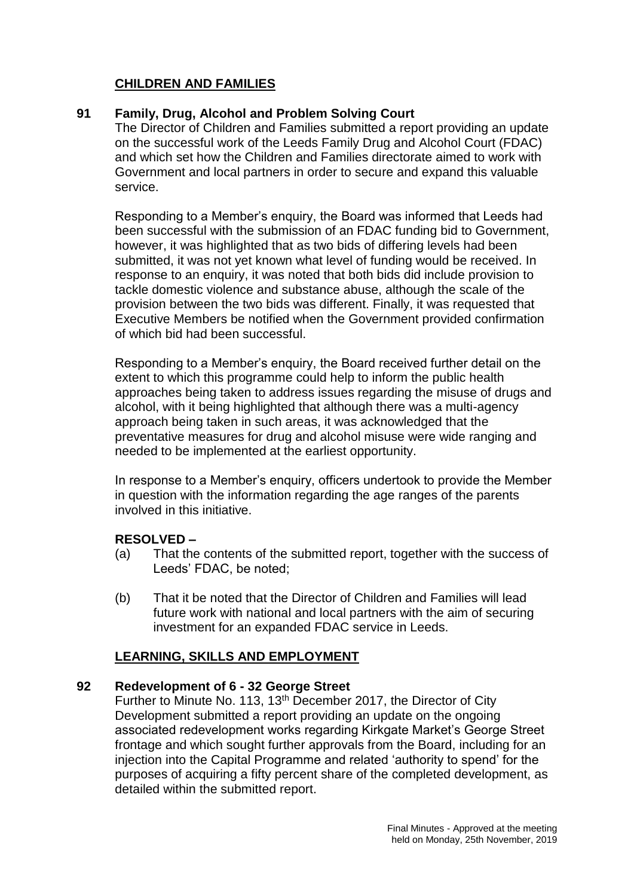# **CHILDREN AND FAMILIES**

## **91 Family, Drug, Alcohol and Problem Solving Court**

The Director of Children and Families submitted a report providing an update on the successful work of the Leeds Family Drug and Alcohol Court (FDAC) and which set how the Children and Families directorate aimed to work with Government and local partners in order to secure and expand this valuable service.

Responding to a Member's enquiry, the Board was informed that Leeds had been successful with the submission of an FDAC funding bid to Government, however, it was highlighted that as two bids of differing levels had been submitted, it was not yet known what level of funding would be received. In response to an enquiry, it was noted that both bids did include provision to tackle domestic violence and substance abuse, although the scale of the provision between the two bids was different. Finally, it was requested that Executive Members be notified when the Government provided confirmation of which bid had been successful.

Responding to a Member's enquiry, the Board received further detail on the extent to which this programme could help to inform the public health approaches being taken to address issues regarding the misuse of drugs and alcohol, with it being highlighted that although there was a multi-agency approach being taken in such areas, it was acknowledged that the preventative measures for drug and alcohol misuse were wide ranging and needed to be implemented at the earliest opportunity.

In response to a Member's enquiry, officers undertook to provide the Member in question with the information regarding the age ranges of the parents involved in this initiative.

# **RESOLVED –**

- (a) That the contents of the submitted report, together with the success of Leeds' FDAC, be noted;
- (b) That it be noted that the Director of Children and Families will lead future work with national and local partners with the aim of securing investment for an expanded FDAC service in Leeds.

# **LEARNING, SKILLS AND EMPLOYMENT**

### **92 Redevelopment of 6 - 32 George Street**

Further to Minute No. 113, 13<sup>th</sup> December 2017, the Director of City Development submitted a report providing an update on the ongoing associated redevelopment works regarding Kirkgate Market's George Street frontage and which sought further approvals from the Board, including for an injection into the Capital Programme and related 'authority to spend' for the purposes of acquiring a fifty percent share of the completed development, as detailed within the submitted report.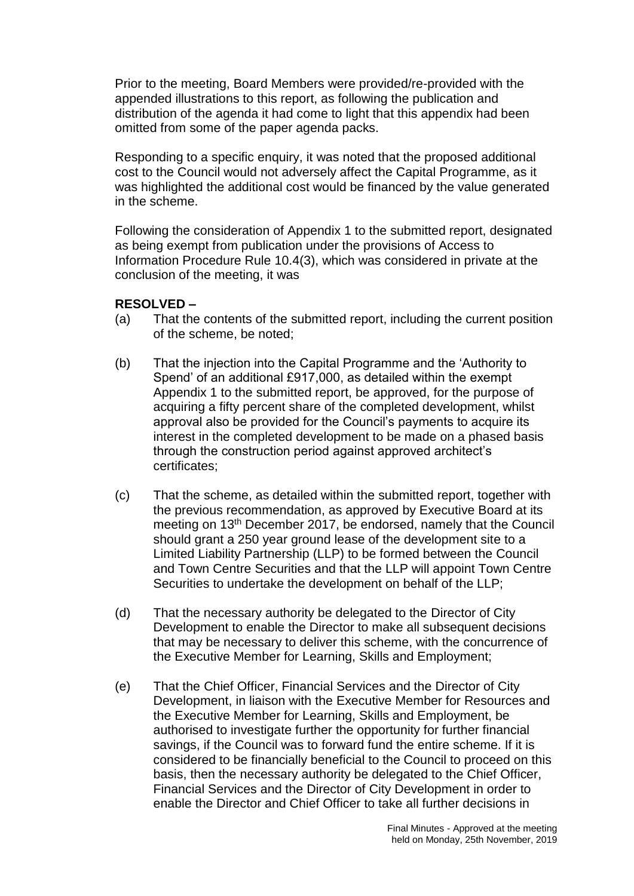Prior to the meeting, Board Members were provided/re-provided with the appended illustrations to this report, as following the publication and distribution of the agenda it had come to light that this appendix had been omitted from some of the paper agenda packs.

Responding to a specific enquiry, it was noted that the proposed additional cost to the Council would not adversely affect the Capital Programme, as it was highlighted the additional cost would be financed by the value generated in the scheme.

Following the consideration of Appendix 1 to the submitted report, designated as being exempt from publication under the provisions of Access to Information Procedure Rule 10.4(3), which was considered in private at the conclusion of the meeting, it was

- (a) That the contents of the submitted report, including the current position of the scheme, be noted;
- (b) That the injection into the Capital Programme and the 'Authority to Spend' of an additional £917,000, as detailed within the exempt Appendix 1 to the submitted report, be approved, for the purpose of acquiring a fifty percent share of the completed development, whilst approval also be provided for the Council's payments to acquire its interest in the completed development to be made on a phased basis through the construction period against approved architect's certificates;
- (c) That the scheme, as detailed within the submitted report, together with the previous recommendation, as approved by Executive Board at its meeting on 13th December 2017, be endorsed, namely that the Council should grant a 250 year ground lease of the development site to a Limited Liability Partnership (LLP) to be formed between the Council and Town Centre Securities and that the LLP will appoint Town Centre Securities to undertake the development on behalf of the LLP;
- (d) That the necessary authority be delegated to the Director of City Development to enable the Director to make all subsequent decisions that may be necessary to deliver this scheme, with the concurrence of the Executive Member for Learning, Skills and Employment;
- (e) That the Chief Officer, Financial Services and the Director of City Development, in liaison with the Executive Member for Resources and the Executive Member for Learning, Skills and Employment, be authorised to investigate further the opportunity for further financial savings, if the Council was to forward fund the entire scheme. If it is considered to be financially beneficial to the Council to proceed on this basis, then the necessary authority be delegated to the Chief Officer, Financial Services and the Director of City Development in order to enable the Director and Chief Officer to take all further decisions in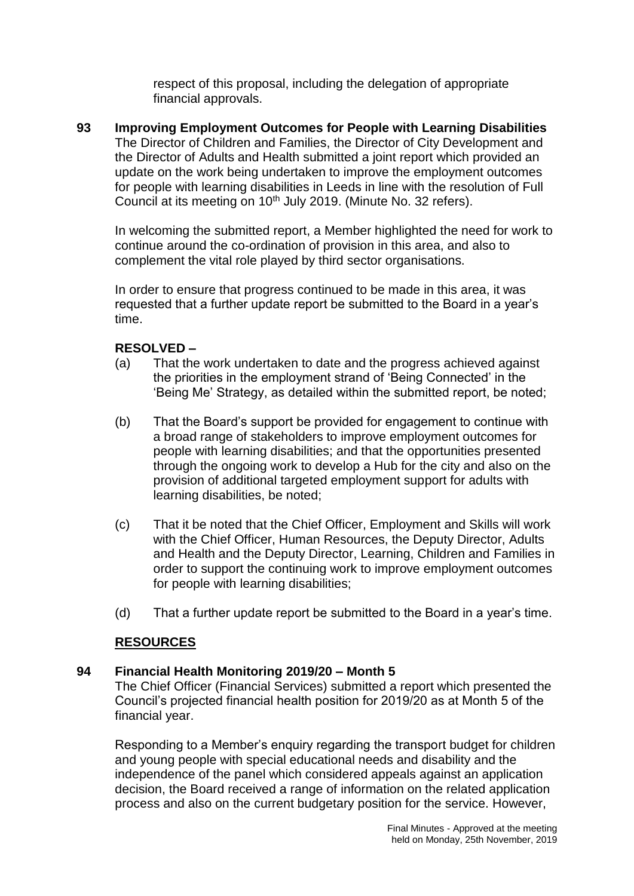respect of this proposal, including the delegation of appropriate financial approvals.

**93 Improving Employment Outcomes for People with Learning Disabilities** The Director of Children and Families, the Director of City Development and the Director of Adults and Health submitted a joint report which provided an update on the work being undertaken to improve the employment outcomes for people with learning disabilities in Leeds in line with the resolution of Full Council at its meeting on 10<sup>th</sup> July 2019. (Minute No. 32 refers).

In welcoming the submitted report, a Member highlighted the need for work to continue around the co-ordination of provision in this area, and also to complement the vital role played by third sector organisations.

In order to ensure that progress continued to be made in this area, it was requested that a further update report be submitted to the Board in a year's time.

## **RESOLVED –**

- (a) That the work undertaken to date and the progress achieved against the priorities in the employment strand of 'Being Connected' in the 'Being Me' Strategy, as detailed within the submitted report, be noted;
- (b) That the Board's support be provided for engagement to continue with a broad range of stakeholders to improve employment outcomes for people with learning disabilities; and that the opportunities presented through the ongoing work to develop a Hub for the city and also on the provision of additional targeted employment support for adults with learning disabilities, be noted;
- (c) That it be noted that the Chief Officer, Employment and Skills will work with the Chief Officer, Human Resources, the Deputy Director, Adults and Health and the Deputy Director, Learning, Children and Families in order to support the continuing work to improve employment outcomes for people with learning disabilities;
- (d) That a further update report be submitted to the Board in a year's time.

# **RESOURCES**

### **94 Financial Health Monitoring 2019/20 – Month 5**

The Chief Officer (Financial Services) submitted a report which presented the Council's projected financial health position for 2019/20 as at Month 5 of the financial year.

Responding to a Member's enquiry regarding the transport budget for children and young people with special educational needs and disability and the independence of the panel which considered appeals against an application decision, the Board received a range of information on the related application process and also on the current budgetary position for the service. However,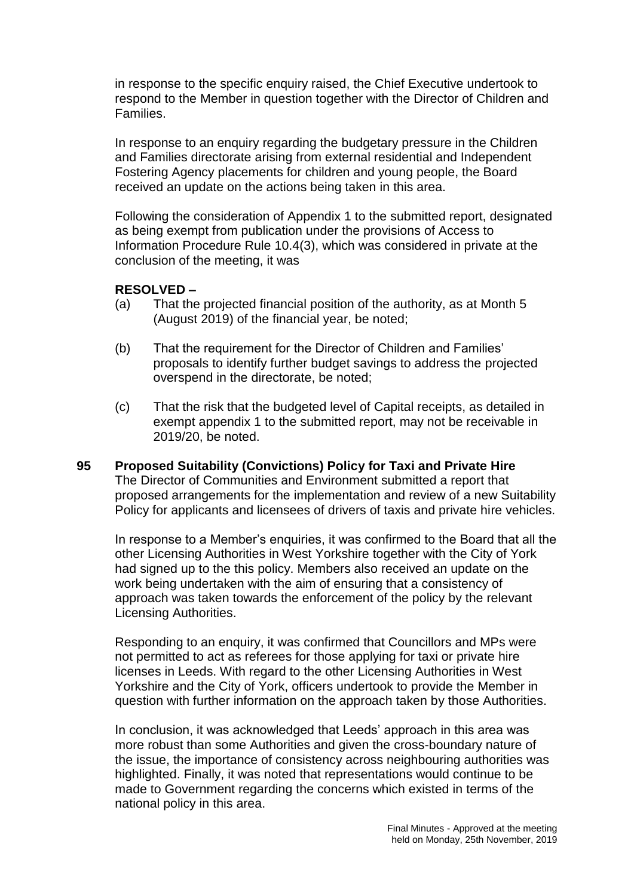in response to the specific enquiry raised, the Chief Executive undertook to respond to the Member in question together with the Director of Children and Families.

In response to an enquiry regarding the budgetary pressure in the Children and Families directorate arising from external residential and Independent Fostering Agency placements for children and young people, the Board received an update on the actions being taken in this area.

Following the consideration of Appendix 1 to the submitted report, designated as being exempt from publication under the provisions of Access to Information Procedure Rule 10.4(3), which was considered in private at the conclusion of the meeting, it was

### **RESOLVED –**

- (a) That the projected financial position of the authority, as at Month 5 (August 2019) of the financial year, be noted;
- (b) That the requirement for the Director of Children and Families' proposals to identify further budget savings to address the projected overspend in the directorate, be noted;
- (c) That the risk that the budgeted level of Capital receipts, as detailed in exempt appendix 1 to the submitted report, may not be receivable in 2019/20, be noted.
- **95 Proposed Suitability (Convictions) Policy for Taxi and Private Hire** The Director of Communities and Environment submitted a report that proposed arrangements for the implementation and review of a new Suitability Policy for applicants and licensees of drivers of taxis and private hire vehicles.

In response to a Member's enquiries, it was confirmed to the Board that all the other Licensing Authorities in West Yorkshire together with the City of York had signed up to the this policy. Members also received an update on the work being undertaken with the aim of ensuring that a consistency of approach was taken towards the enforcement of the policy by the relevant Licensing Authorities.

Responding to an enquiry, it was confirmed that Councillors and MPs were not permitted to act as referees for those applying for taxi or private hire licenses in Leeds. With regard to the other Licensing Authorities in West Yorkshire and the City of York, officers undertook to provide the Member in question with further information on the approach taken by those Authorities.

In conclusion, it was acknowledged that Leeds' approach in this area was more robust than some Authorities and given the cross-boundary nature of the issue, the importance of consistency across neighbouring authorities was highlighted. Finally, it was noted that representations would continue to be made to Government regarding the concerns which existed in terms of the national policy in this area.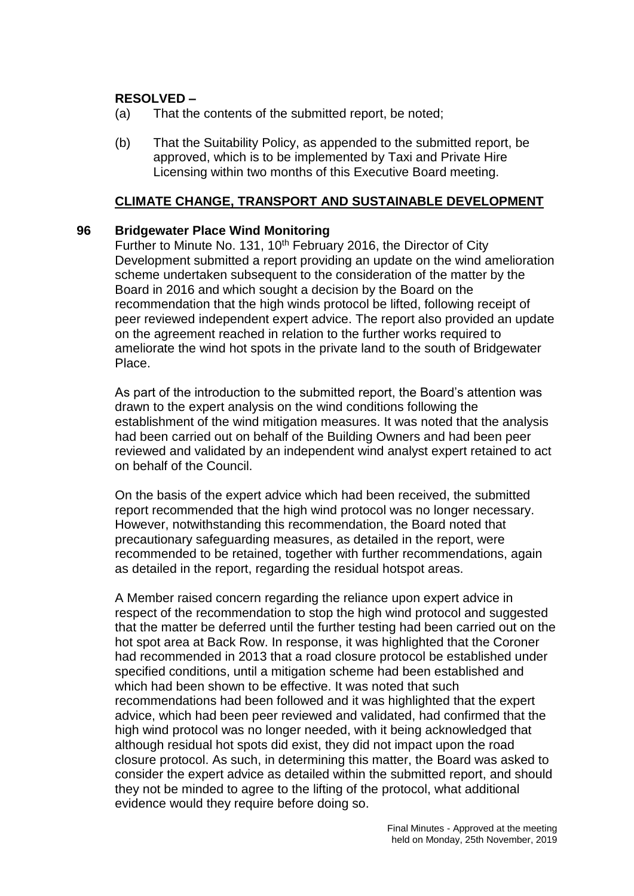### **RESOLVED –**

- (a) That the contents of the submitted report, be noted;
- (b) That the Suitability Policy, as appended to the submitted report, be approved, which is to be implemented by Taxi and Private Hire Licensing within two months of this Executive Board meeting.

### **CLIMATE CHANGE, TRANSPORT AND SUSTAINABLE DEVELOPMENT**

#### **96 Bridgewater Place Wind Monitoring**

Further to Minute No. 131, 10<sup>th</sup> February 2016, the Director of City Development submitted a report providing an update on the wind amelioration scheme undertaken subsequent to the consideration of the matter by the Board in 2016 and which sought a decision by the Board on the recommendation that the high winds protocol be lifted, following receipt of peer reviewed independent expert advice. The report also provided an update on the agreement reached in relation to the further works required to ameliorate the wind hot spots in the private land to the south of Bridgewater Place.

As part of the introduction to the submitted report, the Board's attention was drawn to the expert analysis on the wind conditions following the establishment of the wind mitigation measures. It was noted that the analysis had been carried out on behalf of the Building Owners and had been peer reviewed and validated by an independent wind analyst expert retained to act on behalf of the Council.

On the basis of the expert advice which had been received, the submitted report recommended that the high wind protocol was no longer necessary. However, notwithstanding this recommendation, the Board noted that precautionary safeguarding measures, as detailed in the report, were recommended to be retained, together with further recommendations, again as detailed in the report, regarding the residual hotspot areas.

A Member raised concern regarding the reliance upon expert advice in respect of the recommendation to stop the high wind protocol and suggested that the matter be deferred until the further testing had been carried out on the hot spot area at Back Row. In response, it was highlighted that the Coroner had recommended in 2013 that a road closure protocol be established under specified conditions, until a mitigation scheme had been established and which had been shown to be effective. It was noted that such recommendations had been followed and it was highlighted that the expert advice, which had been peer reviewed and validated, had confirmed that the high wind protocol was no longer needed, with it being acknowledged that although residual hot spots did exist, they did not impact upon the road closure protocol. As such, in determining this matter, the Board was asked to consider the expert advice as detailed within the submitted report, and should they not be minded to agree to the lifting of the protocol, what additional evidence would they require before doing so.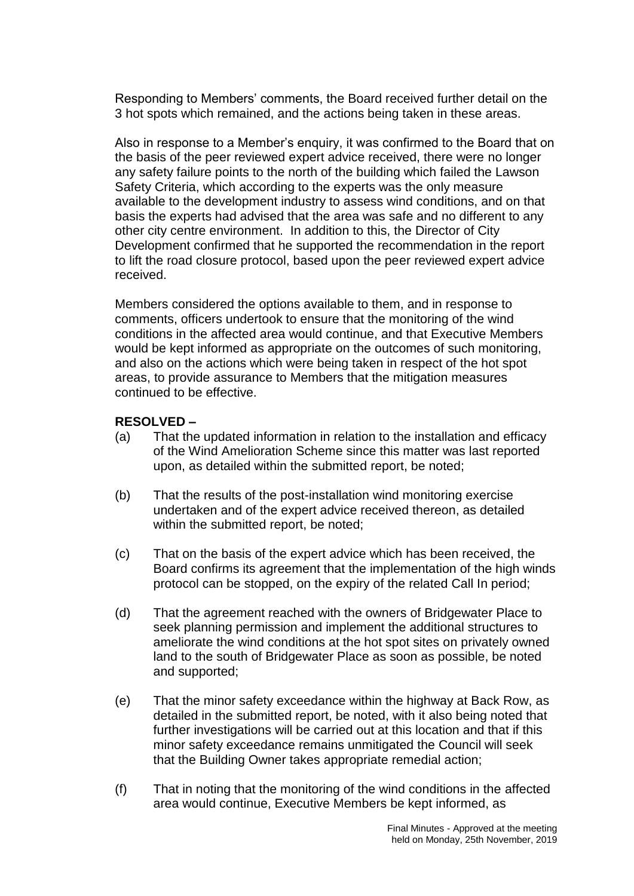Responding to Members' comments, the Board received further detail on the 3 hot spots which remained, and the actions being taken in these areas.

Also in response to a Member's enquiry, it was confirmed to the Board that on the basis of the peer reviewed expert advice received, there were no longer any safety failure points to the north of the building which failed the Lawson Safety Criteria, which according to the experts was the only measure available to the development industry to assess wind conditions, and on that basis the experts had advised that the area was safe and no different to any other city centre environment. In addition to this, the Director of City Development confirmed that he supported the recommendation in the report to lift the road closure protocol, based upon the peer reviewed expert advice received.

Members considered the options available to them, and in response to comments, officers undertook to ensure that the monitoring of the wind conditions in the affected area would continue, and that Executive Members would be kept informed as appropriate on the outcomes of such monitoring, and also on the actions which were being taken in respect of the hot spot areas, to provide assurance to Members that the mitigation measures continued to be effective.

- (a) That the updated information in relation to the installation and efficacy of the Wind Amelioration Scheme since this matter was last reported upon, as detailed within the submitted report, be noted;
- (b) That the results of the post-installation wind monitoring exercise undertaken and of the expert advice received thereon, as detailed within the submitted report, be noted;
- (c) That on the basis of the expert advice which has been received, the Board confirms its agreement that the implementation of the high winds protocol can be stopped, on the expiry of the related Call In period;
- (d) That the agreement reached with the owners of Bridgewater Place to seek planning permission and implement the additional structures to ameliorate the wind conditions at the hot spot sites on privately owned land to the south of Bridgewater Place as soon as possible, be noted and supported;
- (e) That the minor safety exceedance within the highway at Back Row, as detailed in the submitted report, be noted, with it also being noted that further investigations will be carried out at this location and that if this minor safety exceedance remains unmitigated the Council will seek that the Building Owner takes appropriate remedial action;
- (f) That in noting that the monitoring of the wind conditions in the affected area would continue, Executive Members be kept informed, as